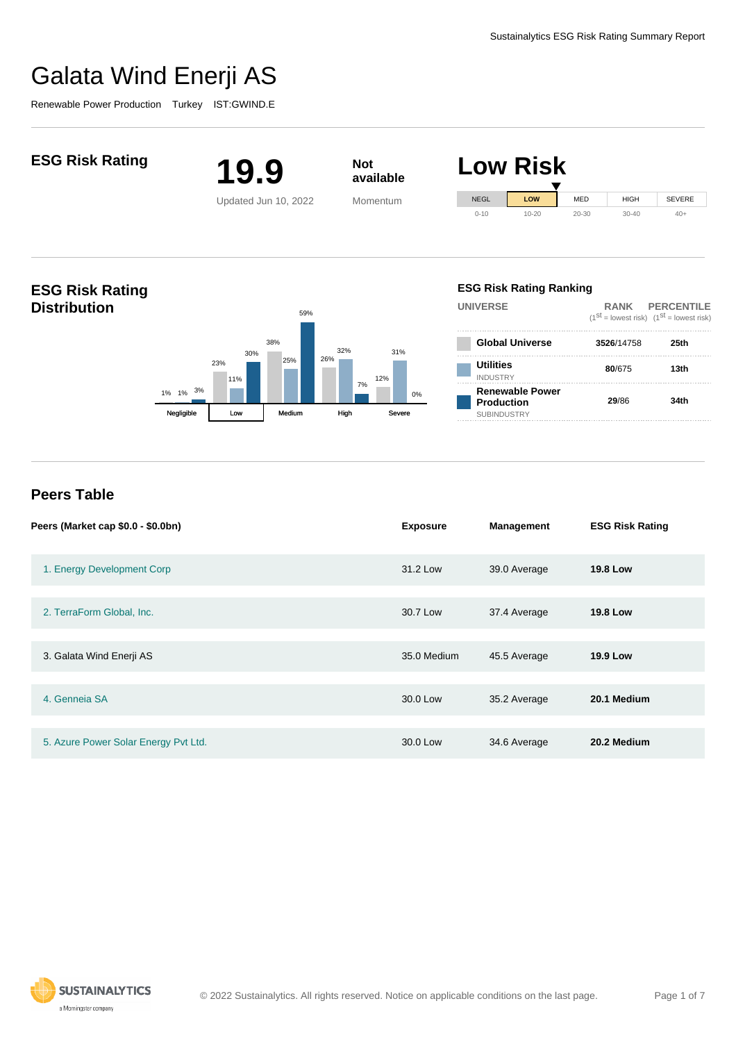SEVERE  $40+$ 

# Galata Wind Enerji AS

Renewable Power Production Turkey IST:GWIND.E



| Low Risk |             |           |           |             |  |
|----------|-------------|-----------|-----------|-------------|--|
|          | <b>NEGL</b> | LOW       | MED       | <b>HIGH</b> |  |
|          | $0 - 10$    | $10 - 20$ | $20 - 30$ | $30 - 40$   |  |



### **ESG Risk Rating Ranking**

| <b>UNIVERSE</b>                                                   | RANK PERCENTILE<br>$(1^{st}$ = lowest risk) $(1^{st}$ = lowest risk) |      |  |
|-------------------------------------------------------------------|----------------------------------------------------------------------|------|--|
| <b>Global Universe</b>                                            | 3526/14758                                                           | 25th |  |
| <b>Utilities</b><br><b>INDUSTRY</b>                               | 80/675                                                               | 13th |  |
| <b>Renewable Power</b><br><b>Production</b><br><b>SUBINDUSTRY</b> | 29/86                                                                | 34th |  |

## **Peers Table**

**Distribution**

| Peers (Market cap \$0.0 - \$0.0bn)   | <b>Exposure</b> | Management   | <b>ESG Risk Rating</b> |
|--------------------------------------|-----------------|--------------|------------------------|
| 1. Energy Development Corp           | 31.2 Low        | 39.0 Average | <b>19.8 Low</b>        |
| 2. TerraForm Global, Inc.            | 30.7 Low        | 37.4 Average | <b>19.8 Low</b>        |
|                                      |                 |              |                        |
| 3. Galata Wind Enerji AS             | 35.0 Medium     | 45.5 Average | <b>19.9 Low</b>        |
|                                      |                 |              |                        |
| 4. Genneia SA                        | 30.0 Low        | 35.2 Average | 20.1 Medium            |
|                                      |                 |              |                        |
| 5. Azure Power Solar Energy Pvt Ltd. | 30.0 Low        | 34.6 Average | 20.2 Medium            |

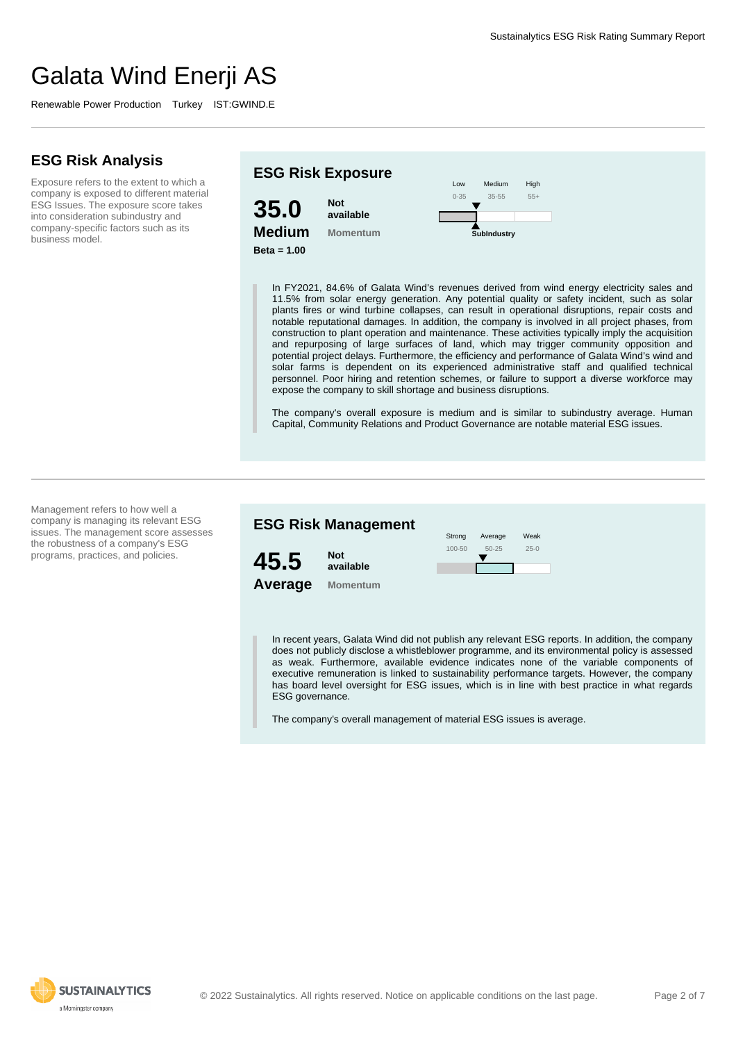Renewable Power Production Turkey IST:GWIND.E

## **ESG Risk Analysis**

Exposure refers to the extent to which a company is exposed to different material ESG Issues. The exposure score takes into consideration subindustry and company-specific factors such as its business model.



In FY2021, 84.6% of Galata Wind's revenues derived from wind energy electricity sales and 11.5% from solar energy generation. Any potential quality or safety incident, such as solar plants fires or wind turbine collapses, can result in operational disruptions, repair costs and notable reputational damages. In addition, the company is involved in all project phases, from construction to plant operation and maintenance. These activities typically imply the acquisition and repurposing of large surfaces of land, which may trigger community opposition and potential project delays. Furthermore, the efficiency and performance of Galata Wind's wind and solar farms is dependent on its experienced administrative staff and qualified technical personnel. Poor hiring and retention schemes, or failure to support a diverse workforce may expose the company to skill shortage and business disruptions.

The company's overall exposure is medium and is similar to subindustry average. Human Capital, Community Relations and Product Governance are notable material ESG issues.

Management refers to how well a company is managing its relevant ESG issues. The management score assesses the robustness of a company's ESG programs, practices, and policies.



In recent years, Galata Wind did not publish any relevant ESG reports. In addition, the company does not publicly disclose a whistleblower programme, and its environmental policy is assessed as weak. Furthermore, available evidence indicates none of the variable components of executive remuneration is linked to sustainability performance targets. However, the company has board level oversight for ESG issues, which is in line with best practice in what regards ESG governance.

The company's overall management of material ESG issues is average.

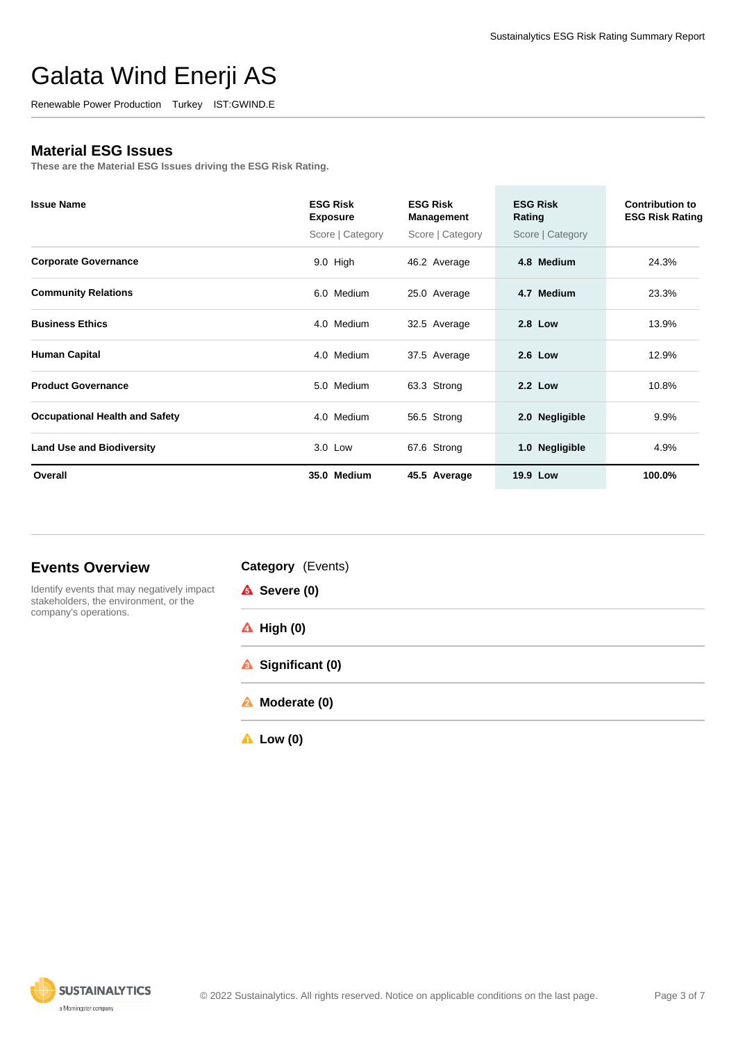Renewable Power Production Turkey IST:GWIND.E

### **Material ESG Issues**

**These are the Material ESG Issues driving the ESG Risk Rating.**

| <b>Issue Name</b>                     | <b>ESG Risk</b><br><b>Exposure</b> | <b>ESG Risk</b><br>Management | <b>ESG Risk</b><br>Rating | Contribution to<br><b>ESG Risk Rating</b> |
|---------------------------------------|------------------------------------|-------------------------------|---------------------------|-------------------------------------------|
|                                       | Score   Category                   | Score   Category              | Score   Category          |                                           |
| <b>Corporate Governance</b>           | $9.0$ High                         | 46.2 Average                  | 4.8 Medium                | 24.3%                                     |
| <b>Community Relations</b>            | 6.0 Medium                         | 25.0 Average                  | 4.7 Medium                | 23.3%                                     |
| <b>Business Ethics</b>                | 4.0 Medium                         | 32.5 Average                  | <b>2.8 Low</b>            | 13.9%                                     |
| <b>Human Capital</b>                  | 4.0 Medium                         | 37.5 Average                  | <b>2.6 Low</b>            | 12.9%                                     |
| <b>Product Governance</b>             | 5.0 Medium                         | 63.3 Strong                   | <b>2.2 Low</b>            | 10.8%                                     |
| <b>Occupational Health and Safety</b> | 4.0 Medium                         | 56.5 Strong                   | 2.0 Negligible            | 9.9%                                      |
| <b>Land Use and Biodiversity</b>      | $3.0$ Low                          | 67.6 Strong                   | 1.0 Negligible            | 4.9%                                      |
| Overall                               | 35.0 Medium                        | 45.5 Average                  | 19.9 Low                  | 100.0%                                    |

## **Events Overview**



**Category** (Events) **A** Severe (0) **High (0) Significant (0) Moderate (0)**

**Low (0)**

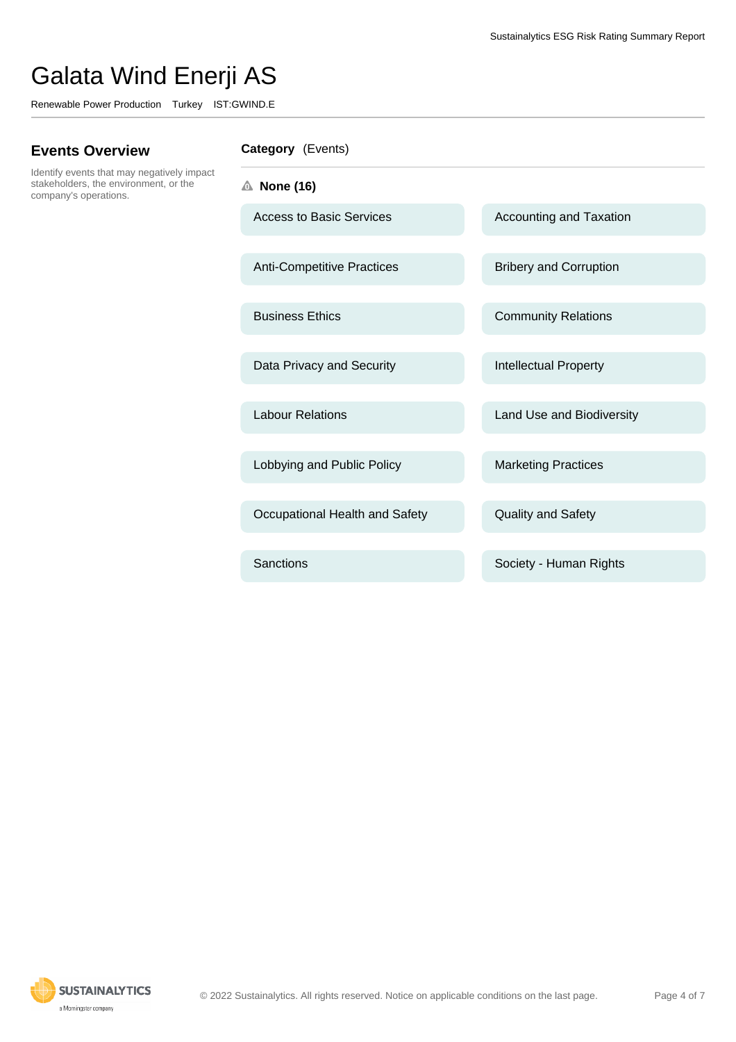Renewable Power Production Turkey IST:GWIND.E

## **Events Overview**

Identify events that may negatively impact stakeholders, the environment, or the company's operations.

### **Category** (Events)

- **None (16)**
	- Access to Basic Services Accounting and Taxation

Anti-Competitive Practices Bribery and Corruption

Data Privacy and Security **Intellectual Property** 

Lobbying and Public Policy Marketing Practices

Occupational Health and Safety **Quality and Safety** 

Business Ethics **Community Relations** 

Labour Relations **Labour Relations** Land Use and Biodiversity

Sanctions **Sanctions** Society - Human Rights

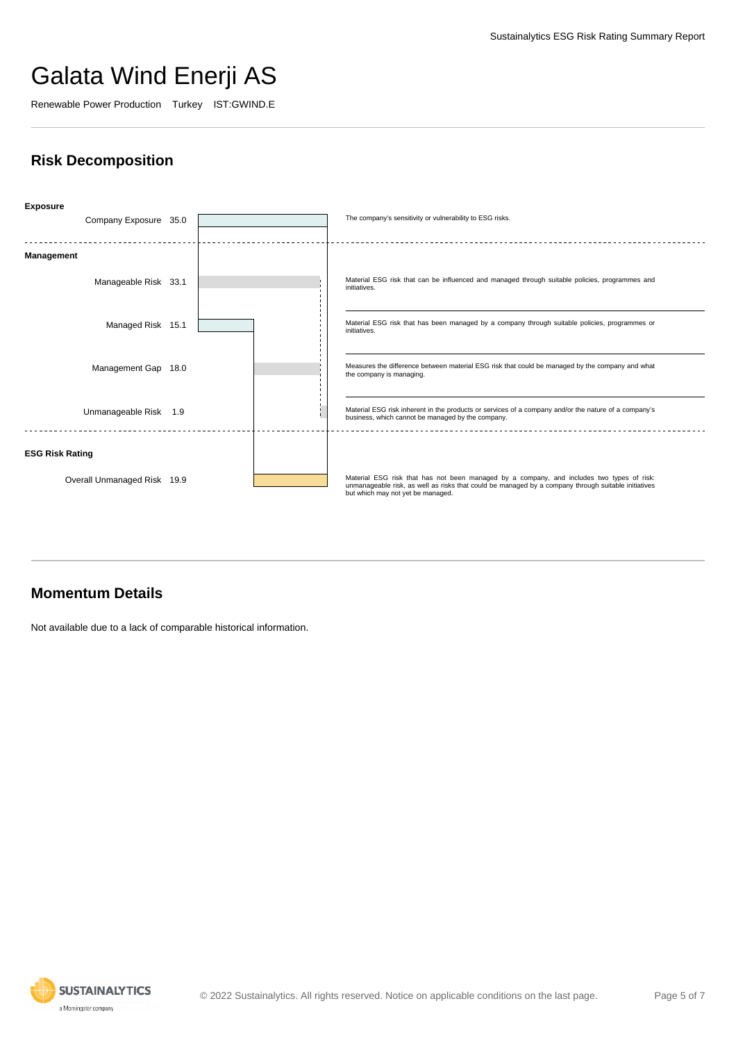Renewable Power Production Turkey IST:GWIND.E

## **Risk Decomposition**

| <b>Exposure</b><br>Company Exposure 35.0 |  | The company's sensitivity or vulnerability to ESG risks.                                                                                                                                                                              |
|------------------------------------------|--|---------------------------------------------------------------------------------------------------------------------------------------------------------------------------------------------------------------------------------------|
|                                          |  |                                                                                                                                                                                                                                       |
| Management                               |  |                                                                                                                                                                                                                                       |
| Manageable Risk 33.1                     |  | Material ESG risk that can be influenced and managed through suitable policies, programmes and<br>initiatives.                                                                                                                        |
| Managed Risk 15.1                        |  | Material ESG risk that has been managed by a company through suitable policies, programmes or<br>initiatives.                                                                                                                         |
| Management Gap 18.0                      |  | Measures the difference between material ESG risk that could be managed by the company and what<br>the company is managing.                                                                                                           |
| Unmanageable Risk 1.9                    |  | Material ESG risk inherent in the products or services of a company and/or the nature of a company's<br>business, which cannot be managed by the company.                                                                             |
| <b>ESG Risk Rating</b>                   |  |                                                                                                                                                                                                                                       |
| Overall Unmanaged Risk 19.9              |  | Material ESG risk that has not been managed by a company, and includes two types of risk:<br>unmanageable risk, as well as risks that could be managed by a company through suitable initiatives<br>but which may not yet be managed. |

## **Momentum Details**

Not available due to a lack of comparable historical information.

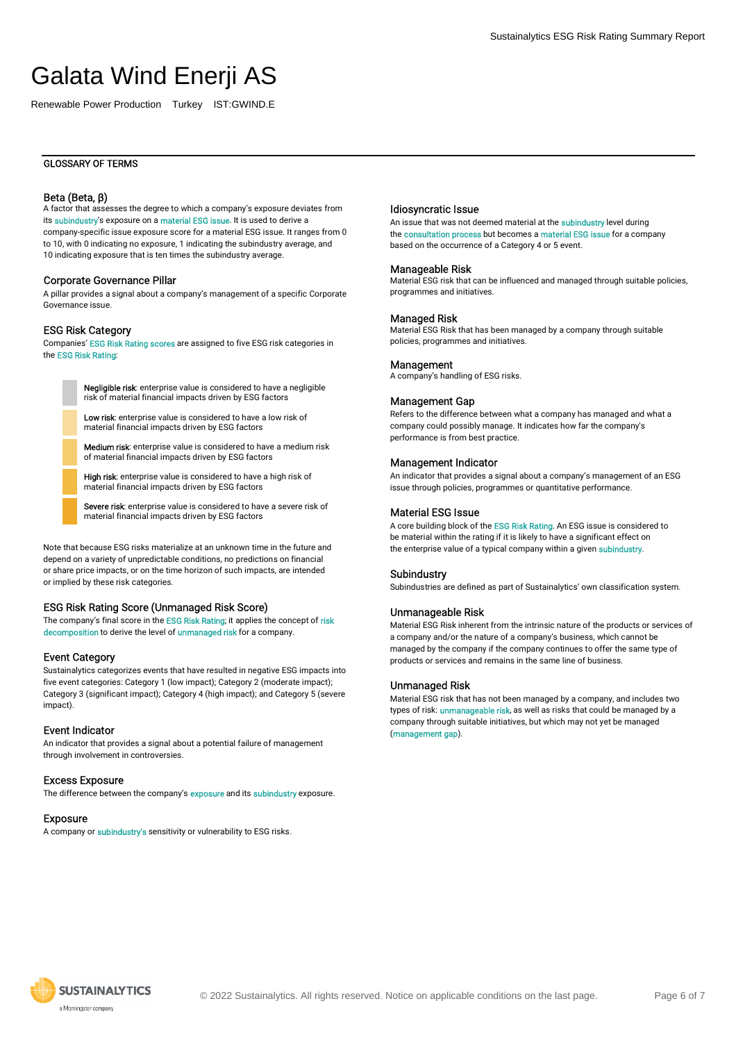Renewable Power Production Turkey IST:GWIND.E

#### GLOSSARY OF TERMS

#### Beta (Beta, β)

A factor that assesses the degree to which a company's exposure deviates from its subindustry's exposure on a material ESG issue. It is used to derive a company-specific issue exposure score for a material ESG issue. It ranges from 0 to 10, with 0 indicating no exposure, 1 indicating the subindustry average, and 10 indicating exposure that is ten times the subindustry average.

#### Corporate Governance Pillar

A pillar provides a signal about a company's management of a specific Corporate Governance issue.

#### ESG Risk Category

Companies' ESG Risk Rating scores are assigned to five ESG risk categories in the ESG Risk Rating:

> Negligible risk: enterprise value is considered to have a negligible risk of material financial impacts driven by ESG factors

Low risk: enterprise value is considered to have a low risk of material financial impacts driven by ESG factors

Medium risk: enterprise value is considered to have a medium risk of material financial impacts driven by ESG factors

High risk: enterprise value is considered to have a high risk of material financial impacts driven by ESG factors

Severe risk: enterprise value is considered to have a severe risk of material financial impacts driven by ESG factors

Note that because ESG risks materialize at an unknown time in the future and depend on a variety of unpredictable conditions, no predictions on financial or share price impacts, or on the time horizon of such impacts, are intended or implied by these risk categories.

#### ESG Risk Rating Score (Unmanaged Risk Score)

The company's final score in the ESG Risk Rating; it applies the concept of risk decomposition to derive the level of unmanaged risk for a company.

#### Event Category

Sustainalytics categorizes events that have resulted in negative ESG impacts into five event categories: Category 1 (low impact); Category 2 (moderate impact); Category 3 (significant impact); Category 4 (high impact); and Category 5 (severe impact).

#### Event Indicator

An indicator that provides a signal about a potential failure of management through involvement in controversies.

#### Excess Exposure

The difference between the company's **exposure** and its **subindustry** exposure.

#### Exposure

A company or subindustry's sensitivity or vulnerability to ESG risks.

#### Idiosyncratic Issue

An issue that was not deemed material at the subindustry level during the consultation process but becomes a material ESG issue for a company based on the occurrence of a Category 4 or 5 event.

#### Manageable Risk

Material ESG risk that can be influenced and managed through suitable policies, programmes and initiatives.

#### Managed Risk

Material ESG Risk that has been managed by a company through suitable policies, programmes and initiatives.

#### **Management**

A company's handling of ESG risks.

#### Management Gap

Refers to the difference between what a company has managed and what a company could possibly manage. It indicates how far the company's performance is from best practice.

#### Management Indicator

An indicator that provides a signal about a company's management of an ESG issue through policies, programmes or quantitative performance.

### Material ESG Issue

A core building block of the ESG Risk Rating. An ESG issue is considered to be material within the rating if it is likely to have a significant effect on the enterprise value of a typical company within a given subindustry.

#### Subindustry

Subindustries are defined as part of Sustainalytics' own classification system.

#### Unmanageable Risk

Material ESG Risk inherent from the intrinsic nature of the products or services of a company and/or the nature of a company's business, which cannot be managed by the company if the company continues to offer the same type of products or services and remains in the same line of business.

#### Unmanaged Risk

Material ESG risk that has not been managed by a company, and includes two types of risk: *unmanageable risk*, as well as risks that could be managed by a company through suitable initiatives, but which may not yet be managed (management gap).